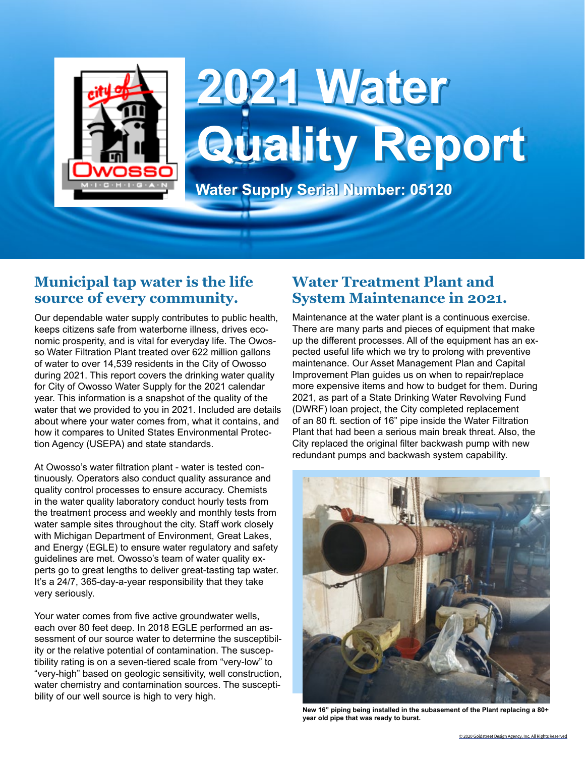

# **Municipal tap water is the life source of every community.**

Our dependable water supply contributes to public health, keeps citizens safe from waterborne illness, drives economic prosperity, and is vital for everyday life. The Owosso Water Filtration Plant treated over 622 million gallons of water to over 14,539 residents in the City of Owosso during 2021. This report covers the drinking water quality for City of Owosso Water Supply for the 2021 calendar year. This information is a snapshot of the quality of the water that we provided to you in 2021. Included are details about where your water comes from, what it contains, and how it compares to United States Environmental Protection Agency (USEPA) and state standards.

At Owosso's water filtration plant - water is tested continuously. Operators also conduct quality assurance and quality control processes to ensure accuracy. Chemists in the water quality laboratory conduct hourly tests from the treatment process and weekly and monthly tests from water sample sites throughout the city. Staff work closely with Michigan Department of Environment, Great Lakes, and Energy (EGLE) to ensure water regulatory and safety guidelines are met. Owosso's team of water quality experts go to great lengths to deliver great-tasting tap water. It's a 24/7, 365-day-a-year responsibility that they take very seriously.

Your water comes from five active groundwater wells, each over 80 feet deep. In 2018 EGLE performed an assessment of our source water to determine the susceptibility or the relative potential of contamination. The susceptibility rating is on a seven-tiered scale from "very-low" to "very-high" based on geologic sensitivity, well construction, water chemistry and contamination sources. The susceptibility of our well source is high to very high.

## **Water Treatment Plant and System Maintenance in 2021.**

Maintenance at the water plant is a continuous exercise. There are many parts and pieces of equipment that make up the different processes. All of the equipment has an expected useful life which we try to prolong with preventive maintenance. Our Asset Management Plan and Capital Improvement Plan guides us on when to repair/replace more expensive items and how to budget for them. During 2021, as part of a State Drinking Water Revolving Fund (DWRF) loan project, the City completed replacement of an 80 ft. section of 16" pipe inside the Water Filtration Plant that had been a serious main break threat. Also, the City replaced the original filter backwash pump with new redundant pumps and backwash system capability.



**New 16" piping being installed in the subasement of the Plant replacing a 80+ year old pipe that was ready to burst.**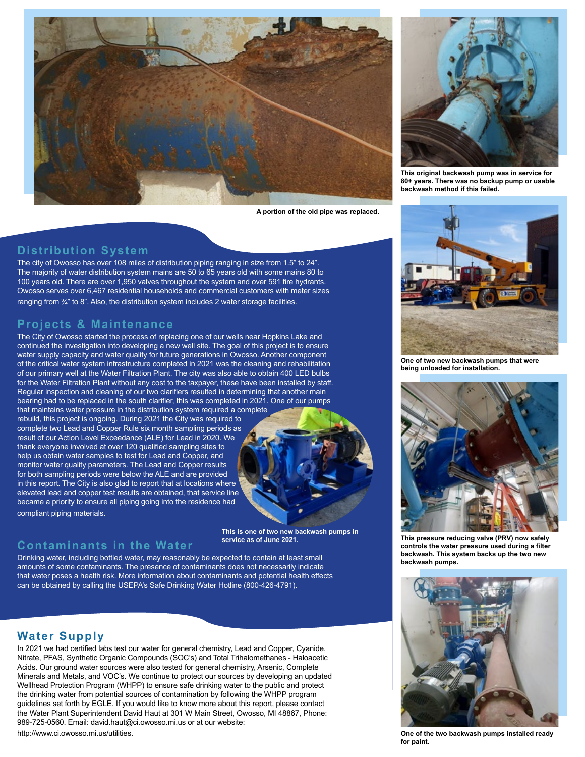

**A portion of the old pipe was replaced.** 

### **Distribution System**

The city of Owosso has over 108 miles of distribution piping ranging in size from 1.5" to 24". The majority of water distribution system mains are 50 to 65 years old with some mains 80 to 100 years old. There are over 1,950 valves throughout the system and over 591 fire hydrants. Owosso serves over 6,467 residential households and commercial customers with meter sizes ranging from  $\frac{3}{4}$ " to 8". Also, the distribution system includes 2 water storage facilities.

#### **Projects & Maintenance**

The City of Owosso started the process of replacing one of our wells near Hopkins Lake and continued the investigation into developing a new well site. The goal of this project is to ensure water supply capacity and water quality for future generations in Owosso. Another component of the critical water system infrastructure completed in 2021 was the cleaning and rehabilitation of our primary well at the Water Filtration Plant. The city was also able to obtain 400 LED bulbs for the Water Filtration Plant without any cost to the taxpayer, these have been installed by staff. Regular inspection and cleaning of our two clarifiers resulted in determining that another main bearing had to be replaced in the south clarifier, this was completed in 2021. One of our pumps that maintains water pressure in the distribution system required a complete rebuild, this project is ongoing. During 2021 the City was required to complete two Lead and Copper Rule six month sampling periods as result of our Action Level Exceedance (ALE) for Lead in 2020. We thank everyone involved at over 120 qualified sampling sites to help us obtain water samples to test for Lead and Copper, and monitor water quality parameters. The Lead and Copper results for both sampling periods were below the ALE and are provided in this report. The City is also glad to report that at locations where elevated lead and copper test results are obtained, that service line became a priority to ensure all piping going into the residence had



## **Contaminants in the Water**

**This is one of two new backwash pumps in service as of June 2021.**

Drinking water, including bottled water, may reasonably be expected to contain at least small amounts of some contaminants. The presence of contaminants does not necessarily indicate that water poses a health risk. More information about contaminants and potential health effects can be obtained by calling the USEPA's Safe Drinking Water Hotline (800-426-4791).



**This original backwash pump was in service for 80+ years. There was no backup pump or usable backwash method if this failed.** 



**One of two new backwash pumps that were being unloaded for installation.** 



**This pressure reducing valve (PRV) now safely controls the water pressure used during a filter backwash. This system backs up the two new backwash pumps.**



**One of the two backwash pumps installed ready for paint.**

### **Water Supply**

compliant piping materials.

In 2021 we had certified labs test our water for general chemistry, Lead and Copper, Cyanide, Nitrate, PFAS, Synthetic Organic Compounds (SOC's) and Total Trihalomethanes - Haloacetic Acids. Our ground water sources were also tested for general chemistry, Arsenic, Complete Minerals and Metals, and VOC's. We continue to protect our sources by developing an updated Wellhead Protection Program (WHPP) to ensure safe drinking water to the public and protect the drinking water from potential sources of contamination by following the WHPP program guidelines set forth by EGLE. If you would like to know more about this report, please contact the Water Plant Superintendent David Haut at 301 W Main Street, Owosso, MI 48867, Phone: 989-725-0560. Email: david.haut@ci.owosso.mi.us or at our website:

http://www.ci.owosso.mi.us/utilities.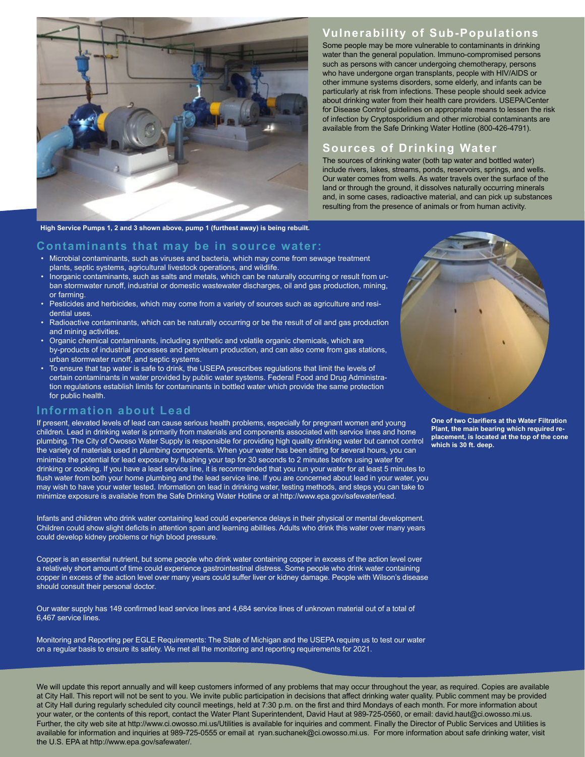

## **Vulnerability of Sub-Populations**

Some people may be more vulnerable to contaminants in drinking water than the general population. Immuno-compromised persons such as persons with cancer undergoing chemotherapy, persons who have undergone organ transplants, people with HIV/AIDS or other immune systems disorders, some elderly, and infants can be particularly at risk from infections. These people should seek advice about drinking water from their health care providers. USEPA/Center for Disease Control guidelines on appropriate means to lessen the risk of infection by Cryptosporidium and other microbial contaminants are available from the Safe Drinking Water Hotline (800-426-4791).

## **Sources of Drinking Water**

The sources of drinking water (both tap water and bottled water) include rivers, lakes, streams, ponds, reservoirs, springs, and wells. Our water comes from wells. As water travels over the surface of the land or through the ground, it dissolves naturally occurring minerals and, in some cases, radioactive material, and can pick up substances resulting from the presence of animals or from human activity.

**High Service Pumps 1, 2 and 3 shown above, pump 1 (furthest away) is being rebuilt.** 

#### **Contaminants that may be in source water:**

- Microbial contaminants, such as viruses and bacteria, which may come from sewage treatment plants, septic systems, agricultural livestock operations, and wildlife.
- Inorganic contaminants, such as salts and metals, which can be naturally occurring or result from urban stormwater runoff, industrial or domestic wastewater discharges, oil and gas production, mining, or farming.
- Pesticides and herbicides, which may come from a variety of sources such as agriculture and residential uses.
- Radioactive contaminants, which can be naturally occurring or be the result of oil and gas production and mining activities.
- Organic chemical contaminants, including synthetic and volatile organic chemicals, which are by-products of industrial processes and petroleum production, and can also come from gas stations, urban stormwater runoff, and septic systems.
- To ensure that tap water is safe to drink, the USEPA prescribes regulations that limit the levels of certain contaminants in water provided by public water systems. Federal Food and Drug Administration regulations establish limits for contaminants in bottled water which provide the same protection for public health.

#### **Information about Lead**

If present, elevated levels of lead can cause serious health problems, especially for pregnant women and young children. Lead in drinking water is primarily from materials and components associated with service lines and home plumbing. The City of Owosso Water Supply is responsible for providing high quality drinking water but cannot control the variety of materials used in plumbing components. When your water has been sitting for several hours, you can minimize the potential for lead exposure by flushing your tap for 30 seconds to 2 minutes before using water for drinking or cooking. If you have a lead service line, it is recommended that you run your water for at least 5 minutes to flush water from both your home plumbing and the lead service line. If you are concerned about lead in your water, you may wish to have your water tested. Information on lead in drinking water, testing methods, and steps you can take to minimize exposure is available from the Safe Drinking Water Hotline or at http://www.epa.gov/safewater/lead.

Infants and children who drink water containing lead could experience delays in their physical or mental development. Children could show slight deficits in attention span and learning abilities. Adults who drink this water over many years could develop kidney problems or high blood pressure.

Copper is an essential nutrient, but some people who drink water containing copper in excess of the action level over a relatively short amount of time could experience gastrointestinal distress. Some people who drink water containing copper in excess of the action level over many years could suffer liver or kidney damage. People with Wilson's disease should consult their personal doctor.

Our water supply has 149 confirmed lead service lines and 4,684 service lines of unknown material out of a total of 6,467 service lines.

Monitoring and Reporting per EGLE Requirements: The State of Michigan and the USEPA require us to test our water on a regular basis to ensure its safety. We met all the monitoring and reporting requirements for 2021.

We will update this report annually and will keep customers informed of any problems that may occur throughout the year, as required. Copies are available at City Hall. This report will not be sent to you. We invite public participation in decisions that affect drinking water quality. Public comment may be provided at City Hall during regularly scheduled city council meetings, held at 7:30 p.m. on the first and third Mondays of each month. For more information about your water, or the contents of this report, contact the Water Plant Superintendent, David Haut at 989-725-0560, or email: david.haut@ci.owosso.mi.us. Further, the city web site at http://www.ci.owosso.mi.us/Utilities is available for inquiries and comment. Finally the Director of Public Services and Utilities is available for information and inquiries at 989-725-0555 or email at ryan.suchanek@ci.owosso.mi.us. For more information about safe drinking water, visit the U.S. EPA at http://www.epa.gov/safewater/.



**One of two Clarifiers at the Water Filtration Plant, the main bearing which required replacement, is located at the top of the cone which is 30 ft. deep.**